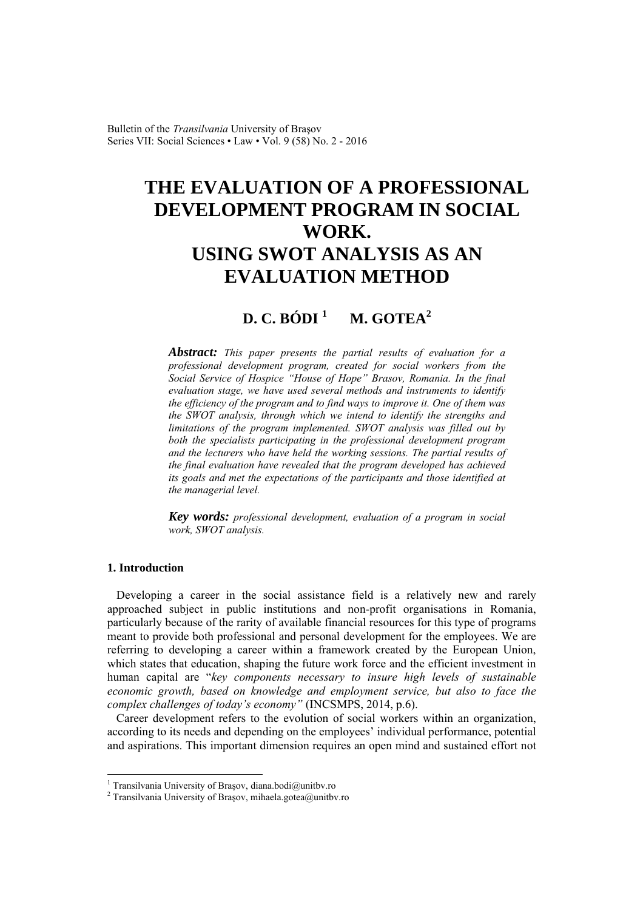Bulletin of the *Transilvania* University of Braşov Series VII: Social Sciences • Law • Vol. 9 (58) No. 2 - 2016

# **THE EVALUATION OF A PROFESSIONAL DEVELOPMENT PROGRAM IN SOCIAL WORK. USING SWOT ANALYSIS AS AN EVALUATION METHOD**

## **D. C. BÓDI <sup>1</sup> M. GOTEA2**

*Abstract: This paper presents the partial results of evaluation for a professional development program, created for social workers from the Social Service of Hospice "House of Hope" Brasov, Romania. In the final evaluation stage, we have used several methods and instruments to identify the efficiency of the program and to find ways to improve it. One of them was the SWOT analysis, through which we intend to identify the strengths and limitations of the program implemented. SWOT analysis was filled out by both the specialists participating in the professional development program and the lecturers who have held the working sessions. The partial results of the final evaluation have revealed that the program developed has achieved its goals and met the expectations of the participants and those identified at the managerial level.* 

*Key words: professional development, evaluation of a program in social work, SWOT analysis.*

#### **1. Introduction**

 $\overline{a}$ 

Developing a career in the social assistance field is a relatively new and rarely approached subject in public institutions and non-profit organisations in Romania, particularly because of the rarity of available financial resources for this type of programs meant to provide both professional and personal development for the employees. We are referring to developing a career within a framework created by the European Union, which states that education, shaping the future work force and the efficient investment in human capital are "*key components necessary to insure high levels of sustainable economic growth, based on knowledge and employment service, but also to face the complex challenges of today's economy"* (INCSMPS, 2014, p.6).

Career development refers to the evolution of social workers within an organization, according to its needs and depending on the employees' individual performance, potential and aspirations. This important dimension requires an open mind and sustained effort not

<sup>&</sup>lt;sup>1</sup> Transilvania University of Brașov, diana.bodi@unitbv.ro<br><sup>2</sup> Transilvania University of Brasov, mihaela gatea@unitbv

<sup>&</sup>lt;sup>2</sup> Transilvania University of Brașov, mihaela.gotea@unitbv.ro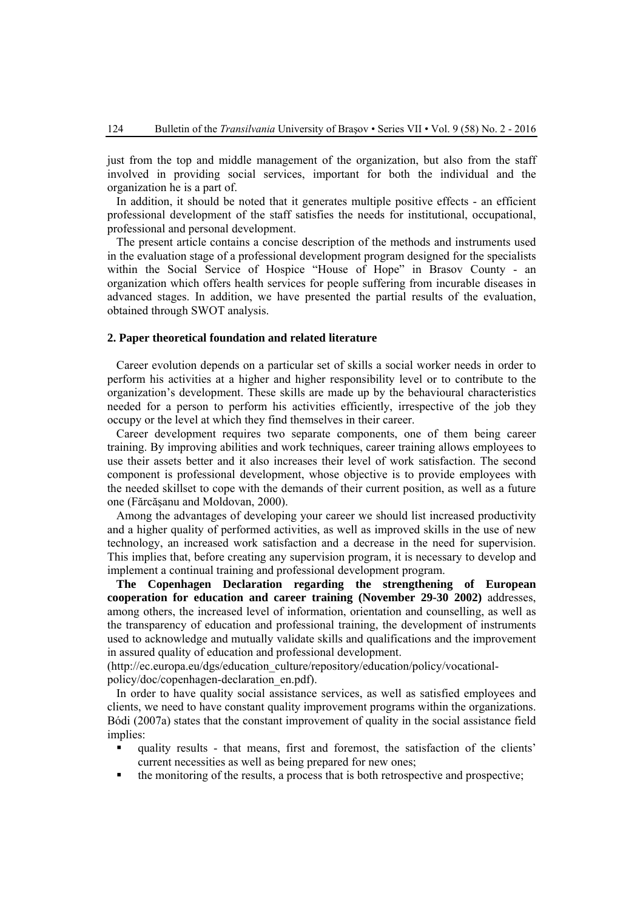just from the top and middle management of the organization, but also from the staff involved in providing social services, important for both the individual and the organization he is a part of.

In addition, it should be noted that it generates multiple positive effects - an efficient professional development of the staff satisfies the needs for institutional, occupational, professional and personal development.

The present article contains a concise description of the methods and instruments used in the evaluation stage of a professional development program designed for the specialists within the Social Service of Hospice "House of Hope" in Brasov County - an organization which offers health services for people suffering from incurable diseases in advanced stages. In addition, we have presented the partial results of the evaluation, obtained through SWOT analysis.

### **2. Paper theoretical foundation and related literature**

Career evolution depends on a particular set of skills a social worker needs in order to perform his activities at a higher and higher responsibility level or to contribute to the organization's development. These skills are made up by the behavioural characteristics needed for a person to perform his activities efficiently, irrespective of the job they occupy or the level at which they find themselves in their career.

Career development requires two separate components, one of them being career training. By improving abilities and work techniques, career training allows employees to use their assets better and it also increases their level of work satisfaction. The second component is professional development, whose objective is to provide employees with the needed skillset to cope with the demands of their current position, as well as a future one (Fărcăşanu and Moldovan, 2000).

Among the advantages of developing your career we should list increased productivity and a higher quality of performed activities, as well as improved skills in the use of new technology, an increased work satisfaction and a decrease in the need for supervision. This implies that, before creating any supervision program, it is necessary to develop and implement a continual training and professional development program.

**The Copenhagen Declaration regarding the strengthening of European cooperation for education and career training (November 29-30 2002)** addresses, among others, the increased level of information, orientation and counselling, as well as the transparency of education and professional training, the development of instruments used to acknowledge and mutually validate skills and qualifications and the improvement in assured quality of education and professional development.

(http://ec.europa.eu/dgs/education\_culture/repository/education/policy/vocationalpolicy/doc/copenhagen-declaration\_en.pdf).

 In order to have quality social assistance services, as well as satisfied employees and clients, we need to have constant quality improvement programs within the organizations. Bódi (2007a) states that the constant improvement of quality in the social assistance field implies:

- quality results that means, first and foremost, the satisfaction of the clients' current necessities as well as being prepared for new ones;
- the monitoring of the results, a process that is both retrospective and prospective;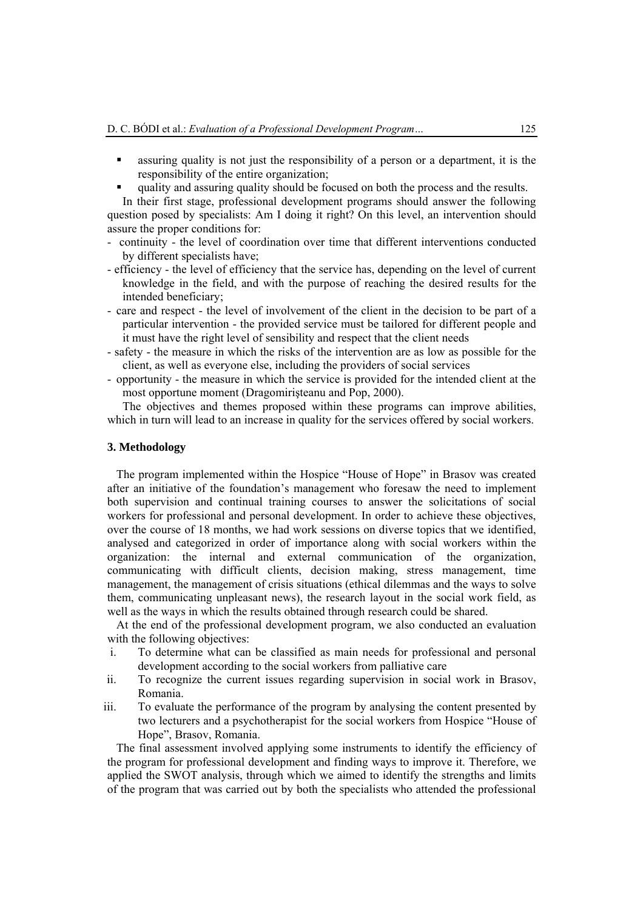- assuring quality is not just the responsibility of a person or a department, it is the responsibility of the entire organization;
- quality and assuring quality should be focused on both the process and the results.

In their first stage, professional development programs should answer the following question posed by specialists: Am I doing it right? On this level, an intervention should assure the proper conditions for:

- continuity the level of coordination over time that different interventions conducted by different specialists have;
- efficiency the level of efficiency that the service has, depending on the level of current knowledge in the field, and with the purpose of reaching the desired results for the intended beneficiary;
- care and respect the level of involvement of the client in the decision to be part of a particular intervention - the provided service must be tailored for different people and it must have the right level of sensibility and respect that the client needs
- safety the measure in which the risks of the intervention are as low as possible for the client, as well as everyone else, including the providers of social services
- opportunity the measure in which the service is provided for the intended client at the most opportune moment (Dragomirişteanu and Pop, 2000).

The objectives and themes proposed within these programs can improve abilities, which in turn will lead to an increase in quality for the services offered by social workers.

#### **3. Methodology**

The program implemented within the Hospice "House of Hope" in Brasov was created after an initiative of the foundation's management who foresaw the need to implement both supervision and continual training courses to answer the solicitations of social workers for professional and personal development. In order to achieve these objectives, over the course of 18 months, we had work sessions on diverse topics that we identified, analysed and categorized in order of importance along with social workers within the organization: the internal and external communication of the organization, communicating with difficult clients, decision making, stress management, time management, the management of crisis situations (ethical dilemmas and the ways to solve them, communicating unpleasant news), the research layout in the social work field, as well as the ways in which the results obtained through research could be shared.

At the end of the professional development program, we also conducted an evaluation with the following objectives:

- i. To determine what can be classified as main needs for professional and personal development according to the social workers from palliative care
- ii. To recognize the current issues regarding supervision in social work in Brasov, Romania.
- iii. To evaluate the performance of the program by analysing the content presented by two lecturers and a psychotherapist for the social workers from Hospice "House of Hope", Brasov, Romania.

The final assessment involved applying some instruments to identify the efficiency of the program for professional development and finding ways to improve it. Therefore, we applied the SWOT analysis, through which we aimed to identify the strengths and limits of the program that was carried out by both the specialists who attended the professional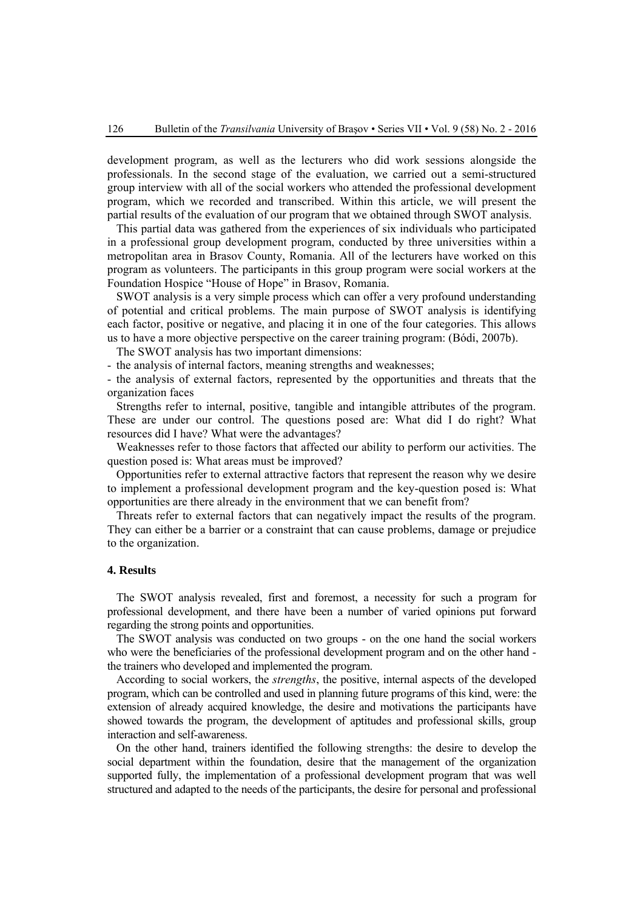development program, as well as the lecturers who did work sessions alongside the professionals. In the second stage of the evaluation, we carried out a semi-structured group interview with all of the social workers who attended the professional development program, which we recorded and transcribed. Within this article, we will present the partial results of the evaluation of our program that we obtained through SWOT analysis.

This partial data was gathered from the experiences of six individuals who participated in a professional group development program, conducted by three universities within a metropolitan area in Brasov County, Romania. All of the lecturers have worked on this program as volunteers. The participants in this group program were social workers at the Foundation Hospice "House of Hope" in Brasov, Romania.

SWOT analysis is a very simple process which can offer a very profound understanding of potential and critical problems. The main purpose of SWOT analysis is identifying each factor, positive or negative, and placing it in one of the four categories. This allows us to have a more objective perspective on the career training program: (Bódi, 2007b).

The SWOT analysis has two important dimensions:

- the analysis of internal factors, meaning strengths and weaknesses;

- the analysis of external factors, represented by the opportunities and threats that the organization faces

Strengths refer to internal, positive, tangible and intangible attributes of the program. These are under our control. The questions posed are: What did I do right? What resources did I have? What were the advantages?

Weaknesses refer to those factors that affected our ability to perform our activities. The question posed is: What areas must be improved?

Opportunities refer to external attractive factors that represent the reason why we desire to implement a professional development program and the key-question posed is: What opportunities are there already in the environment that we can benefit from?

Threats refer to external factors that can negatively impact the results of the program. They can either be a barrier or a constraint that can cause problems, damage or prejudice to the organization.

#### **4. Results**

The SWOT analysis revealed, first and foremost, a necessity for such a program for professional development, and there have been a number of varied opinions put forward regarding the strong points and opportunities.

The SWOT analysis was conducted on two groups - on the one hand the social workers who were the beneficiaries of the professional development program and on the other hand the trainers who developed and implemented the program.

According to social workers, the *strengths*, the positive, internal aspects of the developed program, which can be controlled and used in planning future programs of this kind, were: the extension of already acquired knowledge, the desire and motivations the participants have showed towards the program, the development of aptitudes and professional skills, group interaction and self-awareness.

On the other hand, trainers identified the following strengths: the desire to develop the social department within the foundation, desire that the management of the organization supported fully, the implementation of a professional development program that was well structured and adapted to the needs of the participants, the desire for personal and professional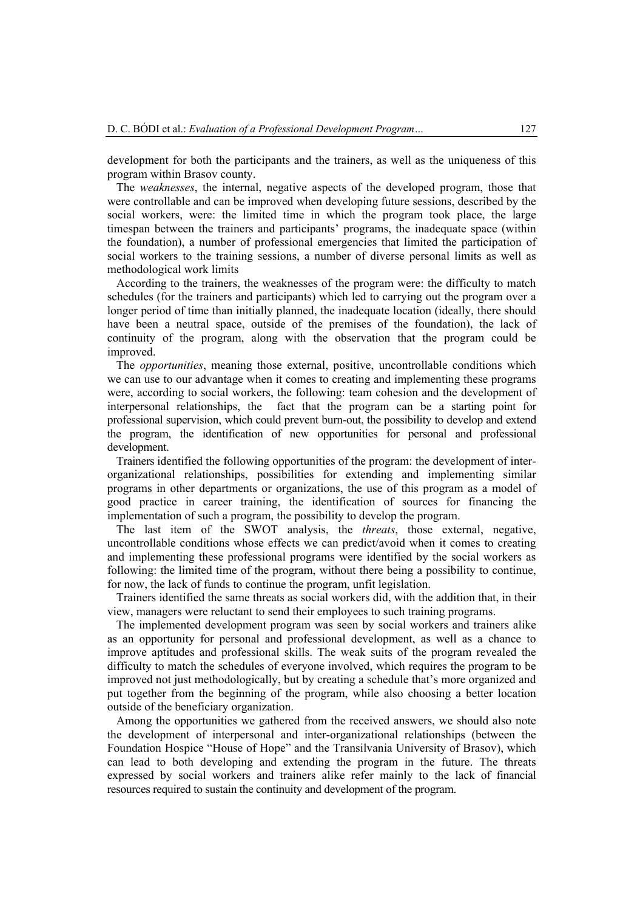development for both the participants and the trainers, as well as the uniqueness of this program within Brasov county.

The *weaknesses*, the internal, negative aspects of the developed program, those that were controllable and can be improved when developing future sessions, described by the social workers, were: the limited time in which the program took place, the large timespan between the trainers and participants' programs, the inadequate space (within the foundation), a number of professional emergencies that limited the participation of social workers to the training sessions, a number of diverse personal limits as well as methodological work limits

According to the trainers, the weaknesses of the program were: the difficulty to match schedules (for the trainers and participants) which led to carrying out the program over a longer period of time than initially planned, the inadequate location (ideally, there should have been a neutral space, outside of the premises of the foundation), the lack of continuity of the program, along with the observation that the program could be improved.

The *opportunities*, meaning those external, positive, uncontrollable conditions which we can use to our advantage when it comes to creating and implementing these programs were, according to social workers, the following: team cohesion and the development of interpersonal relationships, the fact that the program can be a starting point for professional supervision, which could prevent burn-out, the possibility to develop and extend the program, the identification of new opportunities for personal and professional development.

Trainers identified the following opportunities of the program: the development of interorganizational relationships, possibilities for extending and implementing similar programs in other departments or organizations, the use of this program as a model of good practice in career training, the identification of sources for financing the implementation of such a program, the possibility to develop the program.

The last item of the SWOT analysis, the *threats*, those external, negative, uncontrollable conditions whose effects we can predict/avoid when it comes to creating and implementing these professional programs were identified by the social workers as following: the limited time of the program, without there being a possibility to continue, for now, the lack of funds to continue the program, unfit legislation.

Trainers identified the same threats as social workers did, with the addition that, in their view, managers were reluctant to send their employees to such training programs.

The implemented development program was seen by social workers and trainers alike as an opportunity for personal and professional development, as well as a chance to improve aptitudes and professional skills. The weak suits of the program revealed the difficulty to match the schedules of everyone involved, which requires the program to be improved not just methodologically, but by creating a schedule that's more organized and put together from the beginning of the program, while also choosing a better location outside of the beneficiary organization.

Among the opportunities we gathered from the received answers, we should also note the development of interpersonal and inter-organizational relationships (between the Foundation Hospice "House of Hope" and the Transilvania University of Brasov), which can lead to both developing and extending the program in the future. The threats expressed by social workers and trainers alike refer mainly to the lack of financial resources required to sustain the continuity and development of the program.